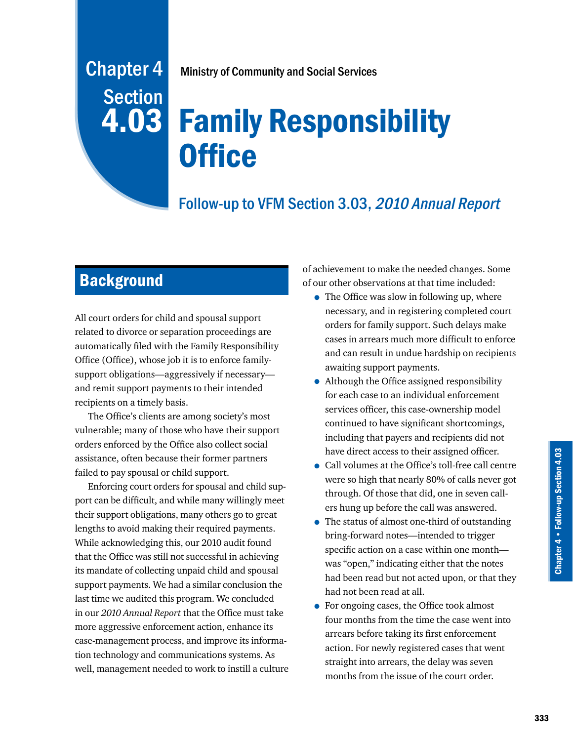# Chapter 4 Ministry of Community and Social Services

# Family Responsibility **Office**

# Follow-up to VFM Section 3.03, 2010 Annual Report

# **Background**

Section

4.03

All court orders for child and spousal support related to divorce or separation proceedings are automatically filed with the Family Responsibility Office (Office), whose job it is to enforce familysupport obligations—aggressively if necessary and remit support payments to their intended recipients on a timely basis.

The Office's clients are among society's most vulnerable; many of those who have their support orders enforced by the Office also collect social assistance, often because their former partners failed to pay spousal or child support.

Enforcing court orders for spousal and child support can be difficult, and while many willingly meet their support obligations, many others go to great lengths to avoid making their required payments. While acknowledging this, our 2010 audit found that the Office was still not successful in achieving its mandate of collecting unpaid child and spousal support payments. We had a similar conclusion the last time we audited this program. We concluded in our *2010 Annual Report* that the Office must take more aggressive enforcement action, enhance its case-management process, and improve its information technology and communications systems. As well, management needed to work to instill a culture of achievement to make the needed changes. Some of our other observations at that time included:

- The Office was slow in following up, where necessary, and in registering completed court orders for family support. Such delays make cases in arrears much more difficult to enforce and can result in undue hardship on recipients awaiting support payments.
- Although the Office assigned responsibility for each case to an individual enforcement services officer, this case-ownership model continued to have significant shortcomings, including that payers and recipients did not have direct access to their assigned officer.
- Call volumes at the Office's toll-free call centre were so high that nearly 80% of calls never got through. Of those that did, one in seven callers hung up before the call was answered.
- The status of almost one-third of outstanding bring-forward notes—intended to trigger specific action on a case within one month was "open," indicating either that the notes had been read but not acted upon, or that they had not been read at all.
- For ongoing cases, the Office took almost four months from the time the case went into arrears before taking its first enforcement action. For newly registered cases that went straight into arrears, the delay was seven months from the issue of the court order.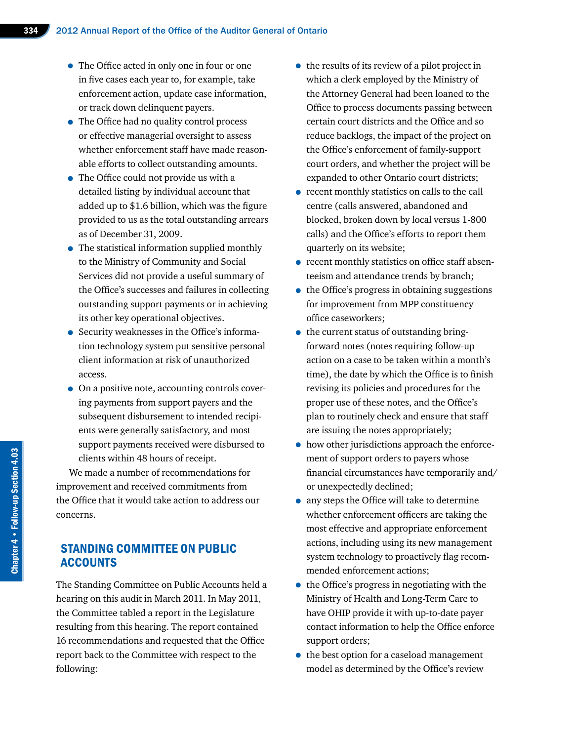- The Office acted in only one in four or one in five cases each year to, for example, take enforcement action, update case information, or track down delinquent payers.
- The Office had no quality control process or effective managerial oversight to assess whether enforcement staff have made reasonable efforts to collect outstanding amounts.
- The Office could not provide us with a detailed listing by individual account that added up to \$1.6 billion, which was the figure provided to us as the total outstanding arrears as of December 31, 2009.
- The statistical information supplied monthly to the Ministry of Community and Social Services did not provide a useful summary of the Office's successes and failures in collecting outstanding support payments or in achieving its other key operational objectives.
- Security weaknesses in the Office's information technology system put sensitive personal client information at risk of unauthorized access.
- On a positive note, accounting controls covering payments from support payers and the subsequent disbursement to intended recipients were generally satisfactory, and most support payments received were disbursed to clients within 48 hours of receipt.

We made a number of recommendations for improvement and received commitments from the Office that it would take action to address our concerns.

# STANDING COMMITTEE ON PUBLIC ACCOUNTS

The Standing Committee on Public Accounts held a hearing on this audit in March 2011. In May 2011, the Committee tabled a report in the Legislature resulting from this hearing. The report contained 16 recommendations and requested that the Office report back to the Committee with respect to the following:

- the results of its review of a pilot project in which a clerk employed by the Ministry of the Attorney General had been loaned to the Office to process documents passing between certain court districts and the Office and so reduce backlogs, the impact of the project on the Office's enforcement of family-support court orders, and whether the project will be expanded to other Ontario court districts;
- recent monthly statistics on calls to the call centre (calls answered, abandoned and blocked, broken down by local versus 1-800 calls) and the Office's efforts to report them quarterly on its website;
- recent monthly statistics on office staff absenteeism and attendance trends by branch;
- the Office's progress in obtaining suggestions for improvement from MPP constituency office caseworkers;
- the current status of outstanding bringforward notes (notes requiring follow-up action on a case to be taken within a month's time), the date by which the Office is to finish revising its policies and procedures for the proper use of these notes, and the Office's plan to routinely check and ensure that staff are issuing the notes appropriately;
- how other jurisdictions approach the enforcement of support orders to payers whose financial circumstances have temporarily and/ or unexpectedly declined;
- any steps the Office will take to determine whether enforcement officers are taking the most effective and appropriate enforcement actions, including using its new management system technology to proactively flag recommended enforcement actions;
- the Office's progress in negotiating with the Ministry of Health and Long-Term Care to have OHIP provide it with up-to-date payer contact information to help the Office enforce support orders;
- the best option for a caseload management model as determined by the Office's review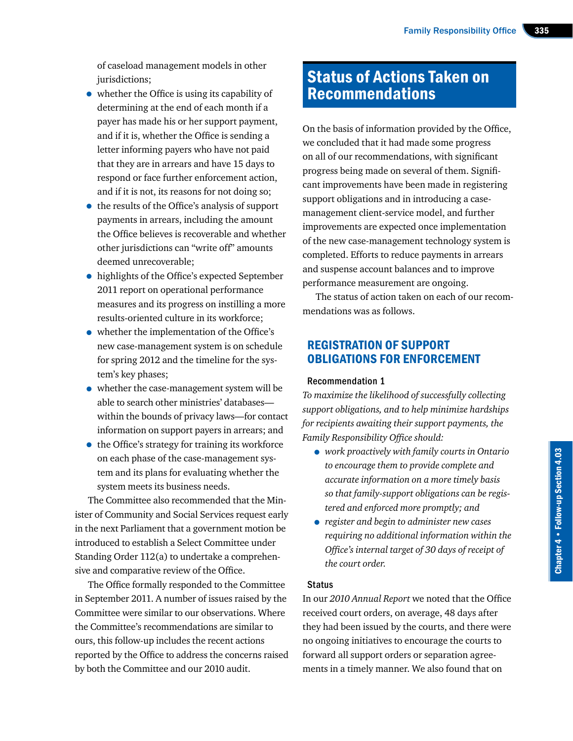of caseload management models in other jurisdictions;

- whether the Office is using its capability of determining at the end of each month if a payer has made his or her support payment, and if it is, whether the Office is sending a letter informing payers who have not paid that they are in arrears and have 15 days to respond or face further enforcement action, and if it is not, its reasons for not doing so;
- the results of the Office's analysis of support payments in arrears, including the amount the Office believes is recoverable and whether other jurisdictions can "write off" amounts deemed unrecoverable;
- highlights of the Office's expected September 2011 report on operational performance measures and its progress on instilling a more results-oriented culture in its workforce;
- whether the implementation of the Office's new case-management system is on schedule for spring 2012 and the timeline for the system's key phases;
- whether the case-management system will be able to search other ministries' databases within the bounds of privacy laws—for contact information on support payers in arrears; and
- the Office's strategy for training its workforce on each phase of the case-management system and its plans for evaluating whether the system meets its business needs.

The Committee also recommended that the Minister of Community and Social Services request early in the next Parliament that a government motion be introduced to establish a Select Committee under Standing Order 112(a) to undertake a comprehensive and comparative review of the Office.

The Office formally responded to the Committee in September 2011. A number of issues raised by the Committee were similar to our observations. Where the Committee's recommendations are similar to ours, this follow-up includes the recent actions reported by the Office to address the concerns raised by both the Committee and our 2010 audit.

# Status of Actions Taken on Recommendations

On the basis of information provided by the Office, we concluded that it had made some progress on all of our recommendations, with significant progress being made on several of them. Significant improvements have been made in registering support obligations and in introducing a casemanagement client-service model, and further improvements are expected once implementation of the new case-management technology system is completed. Efforts to reduce payments in arrears and suspense account balances and to improve performance measurement are ongoing.

The status of action taken on each of our recommendations was as follows.

# REGISTRATION OF SUPPORT OBLIGATIONS FOR ENFORCEMENT

#### Recommendation 1

*To maximize the likelihood of successfully collecting support obligations, and to help minimize hardships for recipients awaiting their support payments, the Family Responsibility Office should:*

- *work proactively with family courts in Ontario to encourage them to provide complete and accurate information on a more timely basis so that family-support obligations can be registered and enforced more promptly; and*
- *register and begin to administer new cases requiring no additional information within the Office's internal target of 30 days of receipt of the court order.*

#### Status

In our *2010 Annual Report* we noted that the Office received court orders, on average, 48 days after they had been issued by the courts, and there were no ongoing initiatives to encourage the courts to forward all support orders or separation agreements in a timely manner. We also found that on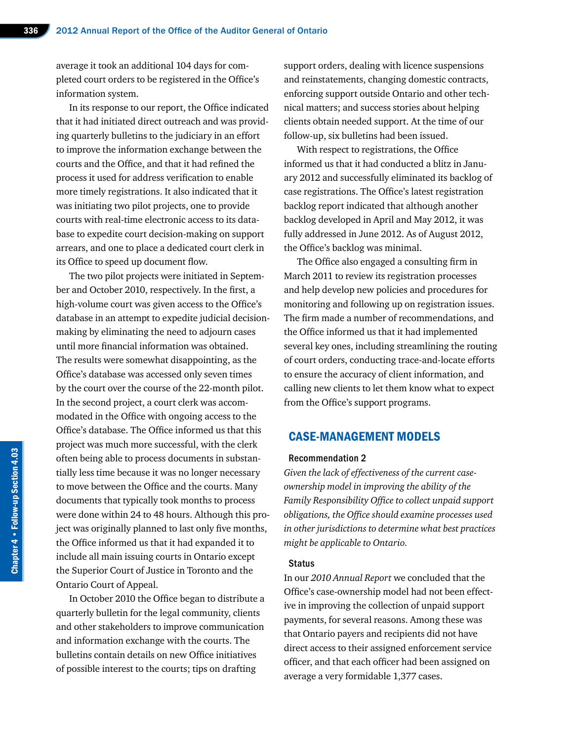average it took an additional 104 days for completed court orders to be registered in the Office's information system.

In its response to our report, the Office indicated that it had initiated direct outreach and was providing quarterly bulletins to the judiciary in an effort to improve the information exchange between the courts and the Office, and that it had refined the process it used for address verification to enable more timely registrations. It also indicated that it was initiating two pilot projects, one to provide courts with real-time electronic access to its database to expedite court decision-making on support arrears, and one to place a dedicated court clerk in its Office to speed up document flow.

The two pilot projects were initiated in September and October 2010, respectively. In the first, a high-volume court was given access to the Office's database in an attempt to expedite judicial decisionmaking by eliminating the need to adjourn cases until more financial information was obtained. The results were somewhat disappointing, as the Office's database was accessed only seven times by the court over the course of the 22-month pilot. In the second project, a court clerk was accommodated in the Office with ongoing access to the Office's database. The Office informed us that this project was much more successful, with the clerk often being able to process documents in substantially less time because it was no longer necessary to move between the Office and the courts. Many documents that typically took months to process were done within 24 to 48 hours. Although this project was originally planned to last only five months, the Office informed us that it had expanded it to include all main issuing courts in Ontario except the Superior Court of Justice in Toronto and the Ontario Court of Appeal.

In October 2010 the Office began to distribute a quarterly bulletin for the legal community, clients and other stakeholders to improve communication and information exchange with the courts. The bulletins contain details on new Office initiatives of possible interest to the courts; tips on drafting

support orders, dealing with licence suspensions and reinstatements, changing domestic contracts, enforcing support outside Ontario and other technical matters; and success stories about helping clients obtain needed support. At the time of our follow-up, six bulletins had been issued.

With respect to registrations, the Office informed us that it had conducted a blitz in January 2012 and successfully eliminated its backlog of case registrations. The Office's latest registration backlog report indicated that although another backlog developed in April and May 2012, it was fully addressed in June 2012. As of August 2012, the Office's backlog was minimal.

The Office also engaged a consulting firm in March 2011 to review its registration processes and help develop new policies and procedures for monitoring and following up on registration issues. The firm made a number of recommendations, and the Office informed us that it had implemented several key ones, including streamlining the routing of court orders, conducting trace-and-locate efforts to ensure the accuracy of client information, and calling new clients to let them know what to expect from the Office's support programs.

# CASE-MANAGEMENT MODELS

#### Recommendation 2

*Given the lack of effectiveness of the current caseownership model in improving the ability of the Family Responsibility Office to collect unpaid support obligations, the Office should examine processes used in other jurisdictions to determine what best practices might be applicable to Ontario.*

#### Status

In our *2010 Annual Report* we concluded that the Office's case-ownership model had not been effective in improving the collection of unpaid support payments, for several reasons. Among these was that Ontario payers and recipients did not have direct access to their assigned enforcement service officer, and that each officer had been assigned on average a very formidable 1,377 cases.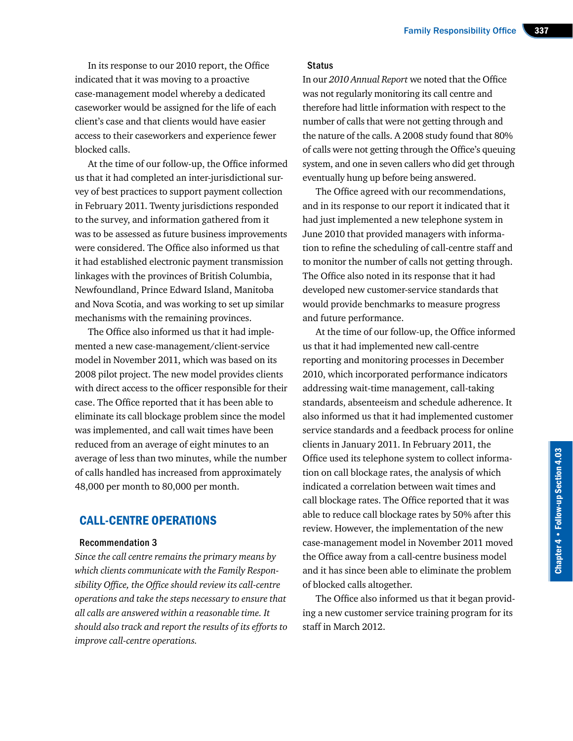In its response to our 2010 report, the Office indicated that it was moving to a proactive case-management model whereby a dedicated caseworker would be assigned for the life of each client's case and that clients would have easier access to their caseworkers and experience fewer blocked calls.

At the time of our follow-up, the Office informed us that it had completed an inter-jurisdictional survey of best practices to support payment collection in February 2011. Twenty jurisdictions responded to the survey, and information gathered from it was to be assessed as future business improvements were considered. The Office also informed us that it had established electronic payment transmission linkages with the provinces of British Columbia, Newfoundland, Prince Edward Island, Manitoba and Nova Scotia, and was working to set up similar mechanisms with the remaining provinces.

The Office also informed us that it had implemented a new case-management/client-service model in November 2011, which was based on its 2008 pilot project. The new model provides clients with direct access to the officer responsible for their case. The Office reported that it has been able to eliminate its call blockage problem since the model was implemented, and call wait times have been reduced from an average of eight minutes to an average of less than two minutes, while the number of calls handled has increased from approximately 48,000 per month to 80,000 per month.

# CALL-CENTRE OPERATIONS

#### Recommendation 3

*Since the call centre remains the primary means by which clients communicate with the Family Responsibility Office, the Office should review its call-centre operations and take the steps necessary to ensure that all calls are answered within a reasonable time. It should also track and report the results of its efforts to improve call-centre operations.*

#### **Status**

In our *2010 Annual Report* we noted that the Office was not regularly monitoring its call centre and therefore had little information with respect to the number of calls that were not getting through and the nature of the calls. A 2008 study found that 80% of calls were not getting through the Office's queuing system, and one in seven callers who did get through eventually hung up before being answered.

The Office agreed with our recommendations, and in its response to our report it indicated that it had just implemented a new telephone system in June 2010 that provided managers with information to refine the scheduling of call-centre staff and to monitor the number of calls not getting through. The Office also noted in its response that it had developed new customer-service standards that would provide benchmarks to measure progress and future performance.

At the time of our follow-up, the Office informed us that it had implemented new call-centre reporting and monitoring processes in December 2010, which incorporated performance indicators addressing wait-time management, call-taking standards, absenteeism and schedule adherence. It also informed us that it had implemented customer service standards and a feedback process for online clients in January 2011. In February 2011, the Office used its telephone system to collect information on call blockage rates, the analysis of which indicated a correlation between wait times and call blockage rates. The Office reported that it was able to reduce call blockage rates by 50% after this review. However, the implementation of the new case-management model in November 2011 moved the Office away from a call-centre business model and it has since been able to eliminate the problem of blocked calls altogether.

The Office also informed us that it began providing a new customer service training program for its staff in March 2012.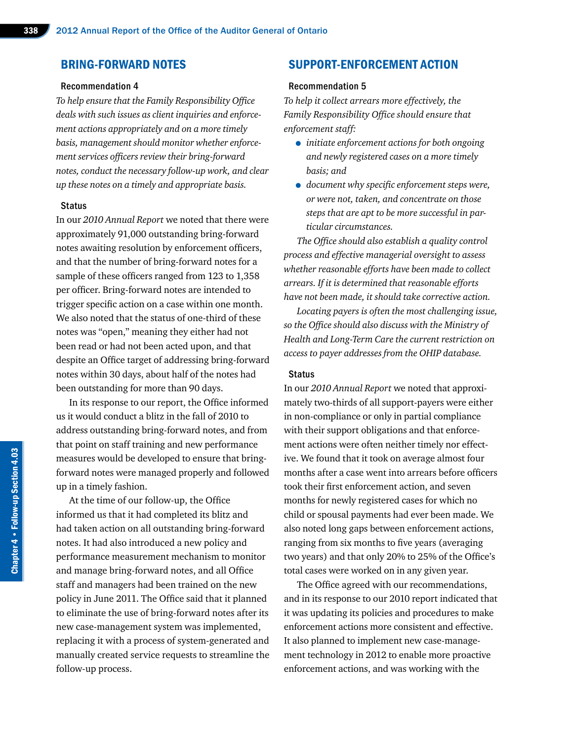## BRING-FORWARD NOTES

#### Recommendation 4

*To help ensure that the Family Responsibility Office deals with such issues as client inquiries and enforcement actions appropriately and on a more timely basis, management should monitor whether enforcement services officers review their bring-forward notes, conduct the necessary follow-up work, and clear up these notes on a timely and appropriate basis.*

#### **Status**

In our *2010 Annual Report* we noted that there were approximately 91,000 outstanding bring-forward notes awaiting resolution by enforcement officers, and that the number of bring-forward notes for a sample of these officers ranged from 123 to 1,358 per officer. Bring-forward notes are intended to trigger specific action on a case within one month. We also noted that the status of one-third of these notes was "open," meaning they either had not been read or had not been acted upon, and that despite an Office target of addressing bring-forward notes within 30 days, about half of the notes had been outstanding for more than 90 days.

In its response to our report, the Office informed us it would conduct a blitz in the fall of 2010 to address outstanding bring-forward notes, and from that point on staff training and new performance measures would be developed to ensure that bringforward notes were managed properly and followed up in a timely fashion.

At the time of our follow-up, the Office informed us that it had completed its blitz and had taken action on all outstanding bring-forward notes. It had also introduced a new policy and performance measurement mechanism to monitor and manage bring-forward notes, and all Office staff and managers had been trained on the new policy in June 2011. The Office said that it planned to eliminate the use of bring-forward notes after its new case-management system was implemented, replacing it with a process of system-generated and manually created service requests to streamline the follow-up process.

# SUPPORT-ENFORCEMENT ACTION

#### Recommendation 5

*To help it collect arrears more effectively, the Family Responsibility Office should ensure that enforcement staff:*

- *initiate enforcement actions for both ongoing and newly registered cases on a more timely basis; and*
- *document why specific enforcement steps were, or were not, taken, and concentrate on those steps that are apt to be more successful in particular circumstances.*

*The Office should also establish a quality control process and effective managerial oversight to assess whether reasonable efforts have been made to collect arrears. If it is determined that reasonable efforts have not been made, it should take corrective action.*

*Locating payers is often the most challenging issue, so the Office should also discuss with the Ministry of Health and Long-Term Care the current restriction on access to payer addresses from the OHIP database.*

#### **Status**

In our *2010 Annual Report* we noted that approximately two-thirds of all support-payers were either in non-compliance or only in partial compliance with their support obligations and that enforcement actions were often neither timely nor effective. We found that it took on average almost four months after a case went into arrears before officers took their first enforcement action, and seven months for newly registered cases for which no child or spousal payments had ever been made. We also noted long gaps between enforcement actions, ranging from six months to five years (averaging two years) and that only 20% to 25% of the Office's total cases were worked on in any given year.

The Office agreed with our recommendations, and in its response to our 2010 report indicated that it was updating its policies and procedures to make enforcement actions more consistent and effective. It also planned to implement new case-management technology in 2012 to enable more proactive enforcement actions, and was working with the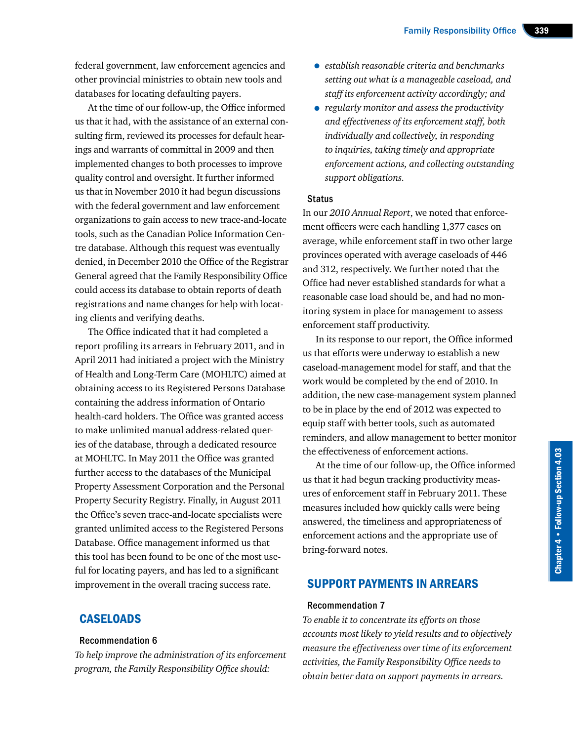federal government, law enforcement agencies and other provincial ministries to obtain new tools and databases for locating defaulting payers.

At the time of our follow-up, the Office informed us that it had, with the assistance of an external consulting firm, reviewed its processes for default hearings and warrants of committal in 2009 and then implemented changes to both processes to improve quality control and oversight. It further informed us that in November 2010 it had begun discussions with the federal government and law enforcement organizations to gain access to new trace-and-locate tools, such as the Canadian Police Information Centre database. Although this request was eventually denied, in December 2010 the Office of the Registrar General agreed that the Family Responsibility Office could access its database to obtain reports of death registrations and name changes for help with locating clients and verifying deaths.

The Office indicated that it had completed a report profiling its arrears in February 2011, and in April 2011 had initiated a project with the Ministry of Health and Long-Term Care (MOHLTC) aimed at obtaining access to its Registered Persons Database containing the address information of Ontario health-card holders. The Office was granted access to make unlimited manual address-related queries of the database, through a dedicated resource at MOHLTC. In May 2011 the Office was granted further access to the databases of the Municipal Property Assessment Corporation and the Personal Property Security Registry. Finally, in August 2011 the Office's seven trace-and-locate specialists were granted unlimited access to the Registered Persons Database. Office management informed us that this tool has been found to be one of the most useful for locating payers, and has led to a significant improvement in the overall tracing success rate.

# **CASELOADS**

#### Recommendation 6

*To help improve the administration of its enforcement program, the Family Responsibility Office should:*

- *establish reasonable criteria and benchmarks setting out what is a manageable caseload, and staff its enforcement activity accordingly; and*
- *regularly monitor and assess the productivity and effectiveness of its enforcement staff, both individually and collectively, in responding to inquiries, taking timely and appropriate enforcement actions, and collecting outstanding support obligations.*

#### **Status**

In our *2010 Annual Report*, we noted that enforcement officers were each handling 1,377 cases on average, while enforcement staff in two other large provinces operated with average caseloads of 446 and 312, respectively. We further noted that the Office had never established standards for what a reasonable case load should be, and had no monitoring system in place for management to assess enforcement staff productivity.

In its response to our report, the Office informed us that efforts were underway to establish a new caseload-management model for staff, and that the work would be completed by the end of 2010. In addition, the new case-management system planned to be in place by the end of 2012 was expected to equip staff with better tools, such as automated reminders, and allow management to better monitor the effectiveness of enforcement actions.

At the time of our follow-up, the Office informed us that it had begun tracking productivity measures of enforcement staff in February 2011. These measures included how quickly calls were being answered, the timeliness and appropriateness of enforcement actions and the appropriate use of bring-forward notes.

# SUPPORT PAYMENTS IN ARREARS

#### Recommendation 7

*To enable it to concentrate its efforts on those accounts most likely to yield results and to objectively measure the effectiveness over time of its enforcement activities, the Family Responsibility Office needs to obtain better data on support payments in arrears.*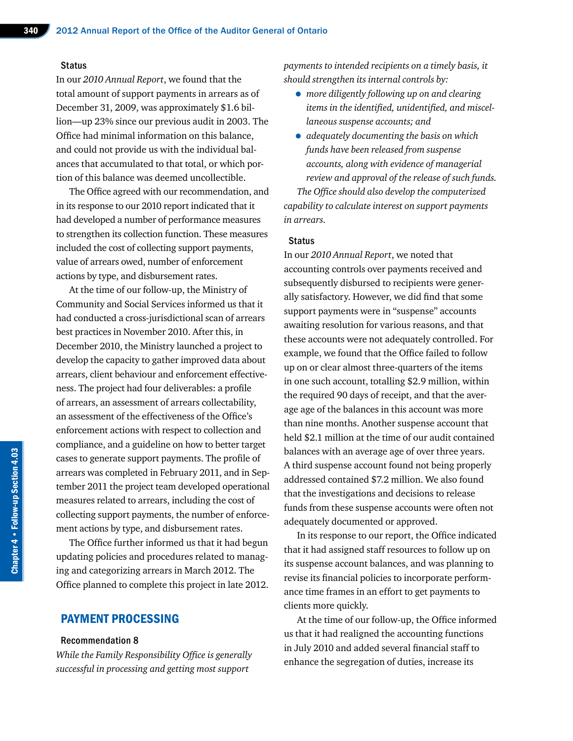#### **Status**

In our *2010 Annual Report*, we found that the total amount of support payments in arrears as of December 31, 2009, was approximately \$1.6 billion—up 23% since our previous audit in 2003. The Office had minimal information on this balance, and could not provide us with the individual balances that accumulated to that total, or which portion of this balance was deemed uncollectible.

The Office agreed with our recommendation, and in its response to our 2010 report indicated that it had developed a number of performance measures to strengthen its collection function. These measures included the cost of collecting support payments, value of arrears owed, number of enforcement actions by type, and disbursement rates.

At the time of our follow-up, the Ministry of Community and Social Services informed us that it had conducted a cross-jurisdictional scan of arrears best practices in November 2010. After this, in December 2010, the Ministry launched a project to develop the capacity to gather improved data about arrears, client behaviour and enforcement effectiveness. The project had four deliverables: a profile of arrears, an assessment of arrears collectability, an assessment of the effectiveness of the Office's enforcement actions with respect to collection and compliance, and a guideline on how to better target cases to generate support payments. The profile of arrears was completed in February 2011, and in September 2011 the project team developed operational measures related to arrears, including the cost of collecting support payments, the number of enforcement actions by type, and disbursement rates.

The Office further informed us that it had begun updating policies and procedures related to managing and categorizing arrears in March 2012. The Office planned to complete this project in late 2012.

# PAYMENT PROCESSING

#### Recommendation 8

*While the Family Responsibility Office is generally successful in processing and getting most support* 

*payments to intended recipients on a timely basis, it should strengthen its internal controls by:*

- *more diligently following up on and clearing items in the identified, unidentified, and miscellaneous suspense accounts; and*
- *adequately documenting the basis on which funds have been released from suspense accounts, along with evidence of managerial review and approval of the release of such funds.*

*The Office should also develop the computerized capability to calculate interest on support payments in arrears.*

#### **Status**

In our *2010 Annual Report*, we noted that accounting controls over payments received and subsequently disbursed to recipients were generally satisfactory. However, we did find that some support payments were in "suspense" accounts awaiting resolution for various reasons, and that these accounts were not adequately controlled. For example, we found that the Office failed to follow up on or clear almost three-quarters of the items in one such account, totalling \$2.9 million, within the required 90 days of receipt, and that the average age of the balances in this account was more than nine months. Another suspense account that held \$2.1 million at the time of our audit contained balances with an average age of over three years. A third suspense account found not being properly addressed contained \$7.2 million. We also found that the investigations and decisions to release funds from these suspense accounts were often not adequately documented or approved.

In its response to our report, the Office indicated that it had assigned staff resources to follow up on its suspense account balances, and was planning to revise its financial policies to incorporate performance time frames in an effort to get payments to clients more quickly.

At the time of our follow-up, the Office informed us that it had realigned the accounting functions in July 2010 and added several financial staff to enhance the segregation of duties, increase its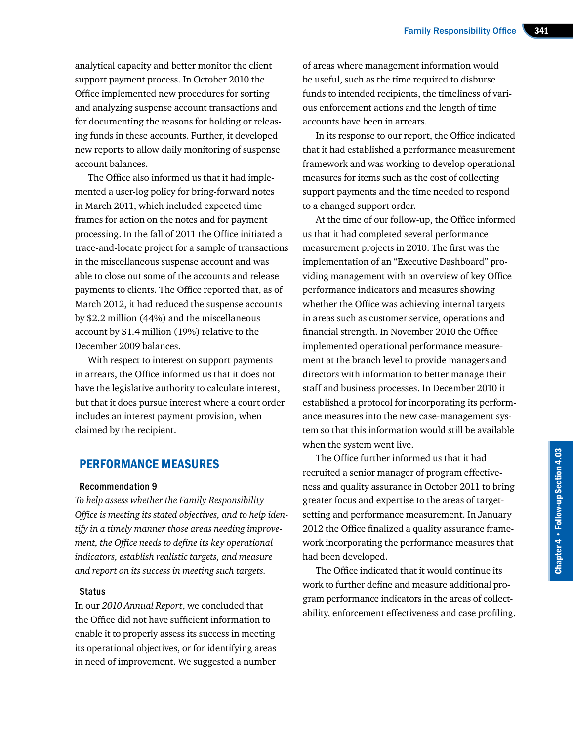analytical capacity and better monitor the client support payment process. In October 2010 the Office implemented new procedures for sorting and analyzing suspense account transactions and for documenting the reasons for holding or releasing funds in these accounts. Further, it developed new reports to allow daily monitoring of suspense account balances.

The Office also informed us that it had implemented a user-log policy for bring-forward notes in March 2011, which included expected time frames for action on the notes and for payment processing. In the fall of 2011 the Office initiated a trace-and-locate project for a sample of transactions in the miscellaneous suspense account and was able to close out some of the accounts and release payments to clients. The Office reported that, as of March 2012, it had reduced the suspense accounts by \$2.2 million (44%) and the miscellaneous account by \$1.4 million (19%) relative to the December 2009 balances.

With respect to interest on support payments in arrears, the Office informed us that it does not have the legislative authority to calculate interest, but that it does pursue interest where a court order includes an interest payment provision, when claimed by the recipient.

## PERFORMANCE MEASURES

#### Recommendation 9

*To help assess whether the Family Responsibility Office is meeting its stated objectives, and to help identify in a timely manner those areas needing improvement, the Office needs to define its key operational indicators, establish realistic targets, and measure and report on its success in meeting such targets.*

#### **Status**

In our *2010 Annual Report*, we concluded that the Office did not have sufficient information to enable it to properly assess its success in meeting its operational objectives, or for identifying areas in need of improvement. We suggested a number

of areas where management information would be useful, such as the time required to disburse funds to intended recipients, the timeliness of various enforcement actions and the length of time accounts have been in arrears.

In its response to our report, the Office indicated that it had established a performance measurement framework and was working to develop operational measures for items such as the cost of collecting support payments and the time needed to respond to a changed support order.

At the time of our follow-up, the Office informed us that it had completed several performance measurement projects in 2010. The first was the implementation of an "Executive Dashboard" providing management with an overview of key Office performance indicators and measures showing whether the Office was achieving internal targets in areas such as customer service, operations and financial strength. In November 2010 the Office implemented operational performance measurement at the branch level to provide managers and directors with information to better manage their staff and business processes. In December 2010 it established a protocol for incorporating its performance measures into the new case-management system so that this information would still be available when the system went live.

The Office further informed us that it had recruited a senior manager of program effectiveness and quality assurance in October 2011 to bring greater focus and expertise to the areas of targetsetting and performance measurement. In January 2012 the Office finalized a quality assurance framework incorporating the performance measures that had been developed.

The Office indicated that it would continue its work to further define and measure additional program performance indicators in the areas of collectability, enforcement effectiveness and case profiling.